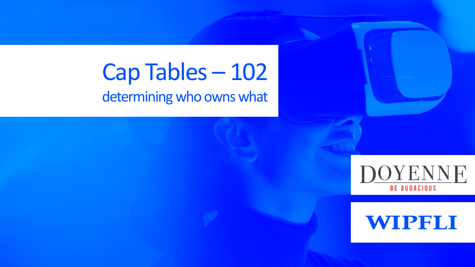### Cap Tables – 102 determining who owns what



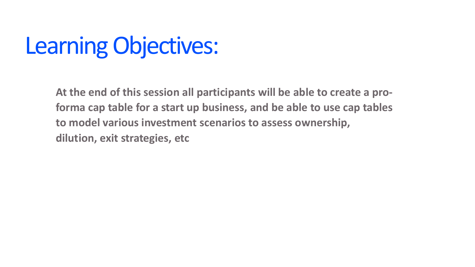## Learning Objectives:

**At the end of this session all participants will be able to create a proforma cap table for a start up business, and be able to use cap tables to model various investment scenarios to assess ownership, dilution, exit strategies, etc**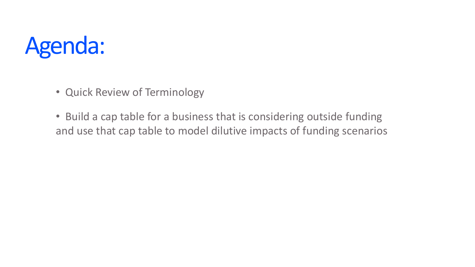## Agenda:

- Quick Review of Terminology
- Build a cap table for a business that is considering outside funding and use that cap table to model dilutive impacts of funding scenarios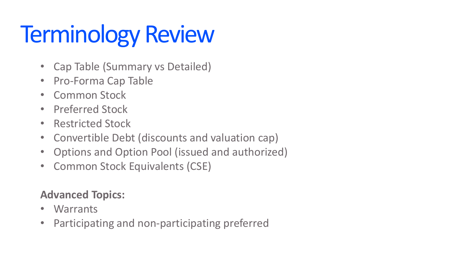# Terminology Review

- Cap Table (Summary vs Detailed)
- Pro-Forma Cap Table
- Common Stock
- Preferred Stock
- Restricted Stock
- Convertible Debt (discounts and valuation cap)
- Options and Option Pool (issued and authorized)
- Common Stock Equivalents (CSE)

#### **Advanced Topics:**

- Warrants
- Participating and non-participating preferred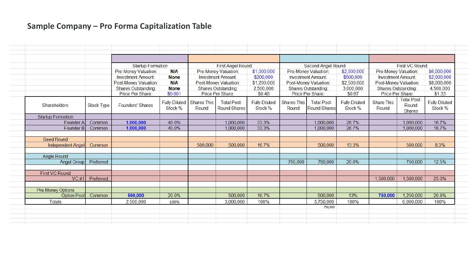#### **Sample Company – Pro Forma Capitalization Table**

|                          |                   | <b>Startup Formation</b>                                                                                              | <b>First Angel Round</b>                                          |                                                                                                                       |                                           | Second Angel Round                                             |                                                                                                                       |                                           | <b>First VC Round</b>                                          |                                                                                                                       |                                       |                                                                  |
|--------------------------|-------------------|-----------------------------------------------------------------------------------------------------------------------|-------------------------------------------------------------------|-----------------------------------------------------------------------------------------------------------------------|-------------------------------------------|----------------------------------------------------------------|-----------------------------------------------------------------------------------------------------------------------|-------------------------------------------|----------------------------------------------------------------|-----------------------------------------------------------------------------------------------------------------------|---------------------------------------|------------------------------------------------------------------|
|                          |                   | Pre-Money Valuation:<br><b>Investment Amount:</b><br>Post-Money Valuation:<br>Shares Outstanding:<br>Price Per Share: | <b>N/A</b><br><b>None</b><br><b>N/A</b><br><b>None</b><br>\$0.001 | Pre-Money Valuation:<br><b>Investment Amount:</b><br>Post-Money Valuation:<br>Shares Outstanding:<br>Price Per Share: |                                           | \$1,000,000<br>\$200,000<br>\$1,200,000<br>2,500,000<br>\$0.40 | Pre-Money Valuation:<br><b>Investment Amount:</b><br>Post-Money Valuation:<br>Shares Outstanding:<br>Price Per Share: |                                           | \$2,000,000<br>\$500,000<br>\$2,500,000<br>3,000,000<br>\$0.67 | Pre-Money Valuation:<br><b>Investment Amount:</b><br>Post-Money Valuation:<br>Shares Outstanding:<br>Price Per Share: |                                       | \$6,000,000<br>\$2,000,000<br>\$8,000,000<br>4,500,000<br>\$1.33 |
| Shareholders             | <b>Stock Type</b> | Founders' Shares                                                                                                      | Stock %                                                           | Fully-Diluted Shares This<br>Round                                                                                    | <b>Total Post-</b><br><b>Round Shares</b> | <b>Fully-Diluted</b><br>Stock %                                | Shares This<br>Round                                                                                                  | <b>Total Post-</b><br><b>Round Shares</b> | <b>Fully-Diluted</b><br>Stock %                                | Share This<br>Round                                                                                                   | <b>Total Post-</b><br>Round<br>Shares | <b>Fully-Diluted</b><br>Stock %                                  |
| <b>Startup Formation</b> |                   |                                                                                                                       |                                                                   |                                                                                                                       |                                           |                                                                |                                                                                                                       |                                           |                                                                |                                                                                                                       |                                       |                                                                  |
| Founder A                | Common            | 1,000,000                                                                                                             | 40.0%                                                             |                                                                                                                       | 1,000,000                                 | 33.3%                                                          |                                                                                                                       | 1,000,000                                 | 26.7%                                                          |                                                                                                                       | 1,000,000                             | 16.7%                                                            |
| Founder B                | Common            | 1,000,000                                                                                                             | 40.0%                                                             |                                                                                                                       | 1,000,000                                 | 33.3%                                                          |                                                                                                                       | 1,000,000                                 | 26.7%                                                          |                                                                                                                       | 1,000,000                             | 16.7%                                                            |
| <b>Seed Round</b>        |                   |                                                                                                                       |                                                                   |                                                                                                                       |                                           |                                                                |                                                                                                                       |                                           |                                                                |                                                                                                                       |                                       |                                                                  |
| <b>Independent Angel</b> | Common            |                                                                                                                       |                                                                   | 500,000                                                                                                               | 500,000                                   | 16.7%                                                          |                                                                                                                       | 500,000                                   | 13.3%                                                          |                                                                                                                       | 500,000                               | 8.3%                                                             |
| Angle Round              |                   |                                                                                                                       |                                                                   |                                                                                                                       |                                           |                                                                |                                                                                                                       |                                           |                                                                |                                                                                                                       |                                       |                                                                  |
| Angel Group              | Preferred         |                                                                                                                       |                                                                   |                                                                                                                       |                                           |                                                                | 750,000                                                                                                               | 750,000                                   | 20.0%                                                          |                                                                                                                       | 750,000                               | 12.5%                                                            |
| <b>First VC Round</b>    |                   |                                                                                                                       |                                                                   |                                                                                                                       |                                           |                                                                |                                                                                                                       |                                           |                                                                |                                                                                                                       |                                       |                                                                  |
|                          | VC#1 Preferred    |                                                                                                                       |                                                                   |                                                                                                                       |                                           |                                                                |                                                                                                                       |                                           |                                                                | 1,500,000                                                                                                             | 1,500,000                             | 25.0%                                                            |
| Pre-Money Options        |                   |                                                                                                                       |                                                                   |                                                                                                                       |                                           |                                                                |                                                                                                                       |                                           |                                                                |                                                                                                                       |                                       |                                                                  |
| Option Pool              | Common            | 500,000                                                                                                               | 20.0%                                                             |                                                                                                                       | 500,000                                   | 16.7%                                                          |                                                                                                                       | 500,000                                   | 13%                                                            | 750,000                                                                                                               | 1,250,000                             | 20.8%                                                            |
| Totals                   |                   | 2,500,000                                                                                                             | 100%                                                              |                                                                                                                       | 3,000,000                                 | 100%                                                           |                                                                                                                       | 3,750,000                                 | 100%                                                           |                                                                                                                       | 6,000,000                             | 100%                                                             |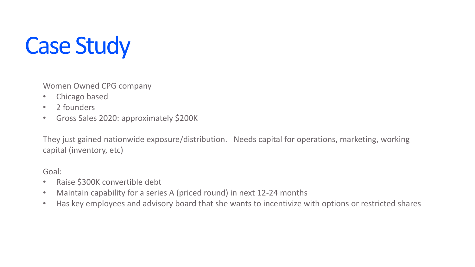# Case Study

Women Owned CPG company

- Chicago based
- 2 founders
- Gross Sales 2020: approximately \$200K

They just gained nationwide exposure/distribution. Needs capital for operations, marketing, working capital (inventory, etc)

Goal:

- Raise \$300K convertible debt
- Maintain capability for a series A (priced round) in next 12-24 months
- Has key employees and advisory board that she wants to incentivize with options or restricted shares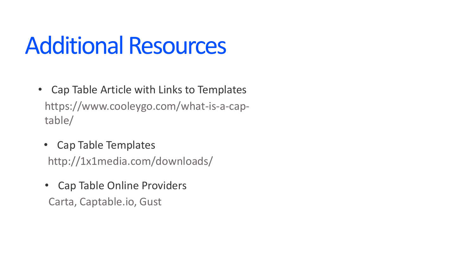## Additional Resources

- https://www.cooleygo.com/what-is-a-captable/ • Cap Table Article with Links to Templates
	- http://1x1media.com/downloads/ • Cap Table Templates
	- Cap Table Online Providers Carta, Captable.io, Gust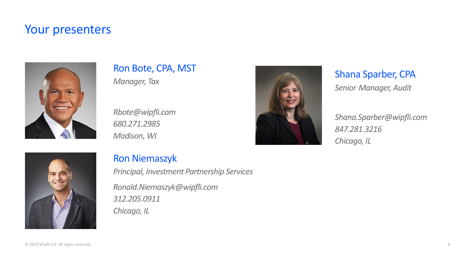#### Your presenters



#### Ron Bote, CPA, MST *Manager, Tax*

*Rbote@wipfli.com 680.271.2985 Madison, WI*



#### Shana Sparber, CPA *Senior Manager, Audit*

*Shana.Sparber@wipfli.com 847.281.3216 Chicago, IL*



#### Ron Niemaszyk

*Principal, Investment Partnership Services Ronald.Niemaszyk@wipfli.com 312.205.0911 Chicago, IL*